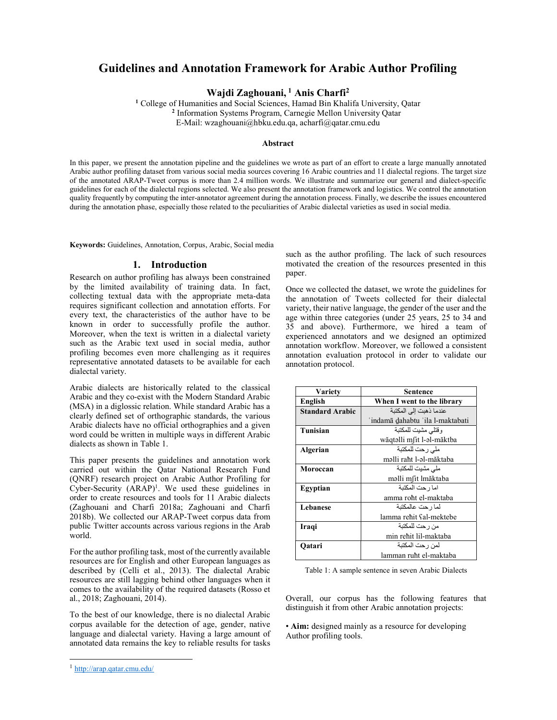# Guidelines and Annotation Framework for Arabic Author Profiling

Wajdi Zaghouani,  $<sup>1</sup>$  Anis Charfi<sup>2</sup></sup>

<sup>1</sup> College of Humanities and Social Sciences, Hamad Bin Khalifa University, Qatar 2 Information Systems Program, Carnegie Mellon University Qatar E-Mail: wzaghouani@hbku.edu.qa, acharfi@qatar.cmu.edu

#### Abstract

In this paper, we present the annotation pipeline and the guidelines we wrote as part of an effort to create a large manually annotated Arabic author profiling dataset from various social media sources covering 16 Arabic countries and 11 dialectal regions. The target size of the annotated ARAP-Tweet corpus is more than 2.4 million words. We illustrate and summarize our general and dialect-specific guidelines for each of the dialectal regions selected. We also present the annotation framework and logistics. We control the annotation quality frequently by computing the inter-annotator agreement during the annotation process. Finally, we describe the issues encountered during the annotation phase, especially those related to the peculiarities of Arabic dialectal varieties as used in social media.

Keywords: Guidelines, Annotation, Corpus, Arabic, Social media

#### 1. Introduction

Research on author profiling has always been constrained by the limited availability of training data. In fact, collecting textual data with the appropriate meta-data requires significant collection and annotation efforts. For every text, the characteristics of the author have to be known in order to successfully profile the author. Moreover, when the text is written in a dialectal variety such as the Arabic text used in social media, author profiling becomes even more challenging as it requires representative annotated datasets to be available for each dialectal variety.

Arabic dialects are historically related to the classical Arabic and they co-exist with the Modern Standard Arabic (MSA) in a diglossic relation. While standard Arabic has a clearly defined set of orthographic standards, the various Arabic dialects have no official orthographies and a given word could be written in multiple ways in different Arabic dialects as shown in Table 1.

This paper presents the guidelines and annotation work carried out within the Qatar National Research Fund (QNRF) research project on Arabic Author Profiling for Cyber-Security  $(ARAP)^1$ . We used these guidelines in order to create resources and tools for 11 Arabic dialects (Zaghouani and Charfi 2018a; Zaghouani and Charfi 2018b). We collected our ARAP-Tweet corpus data from public Twitter accounts across various regions in the Arab world.

For the author profiling task, most of the currently available resources are for English and other European languages as described by (Celli et al., 2013). The dialectal Arabic resources are still lagging behind other languages when it comes to the availability of the required datasets (Rosso et al., 2018; Zaghouani, 2014).

To the best of our knowledge, there is no dialectal Arabic corpus available for the detection of age, gender, native language and dialectal variety. Having a large amount of annotated data remains the key to reliable results for tasks

-

such as the author profiling. The lack of such resources motivated the creation of the resources presented in this paper.

Once we collected the dataset, we wrote the guidelines for the annotation of Tweets collected for their dialectal variety, their native language, the gender of the user and the age within three categories (under 25 years, 25 to 34 and 35 and above). Furthermore, we hired a team of experienced annotators and we designed an optimized annotation workflow. Moreover, we followed a consistent annotation evaluation protocol in order to validate our annotation protocol.

| <b>Variety</b>         | Sentence                         |
|------------------------|----------------------------------|
| English                | When I went to the library       |
| <b>Standard Arabic</b> | عندما ذهبت إلى المكتبة           |
|                        | ʻindamā dahabtu 'ila l-maktabati |
| <b>Tunisian</b>        | وقتلى مشيت للمكتبة               |
|                        | wăqtəlli mfit l-əl-măktba        |
| Algerian               | ملي ر حت للمكتبة                 |
|                        | məlli raht l-əl-măktaba          |
| Moroccan               | ملى مشيت للمكتبة                 |
|                        | məlli mfit lmăktaba              |
| Egyptian               | اما رحت المكتبة                  |
|                        | amma roħt el-maktaba             |
| Lebanese               | لما ر حت عالمكتبة                |
|                        | lamma reħit ʕal-mektebe          |
| Iraqi                  | من ر حت للمكتبة                  |
|                        | min rehit lil-maktaba            |
| Oatari                 | لمن رحت المكتبة                  |
|                        | lamman ruħt el-maktaba           |

Table 1: A sample sentence in seven Arabic Dialects

Overall, our corpus has the following features that distinguish it from other Arabic annotation projects:

• Aim: designed mainly as a resource for developing Author profiling tools.

<sup>&</sup>lt;sup>1</sup> http://arap.qatar.cmu.edu/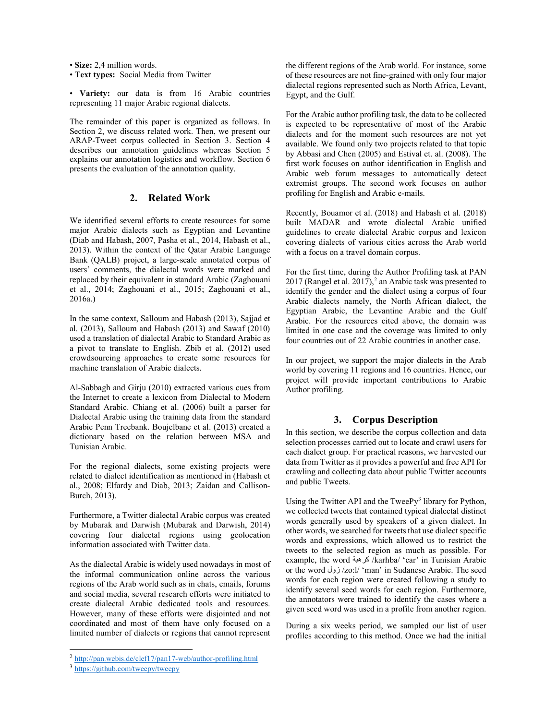• Size: 2,4 million words.

• Text types: Social Media from Twitter

• Variety: our data is from 16 Arabic countries representing 11 major Arabic regional dialects.

The remainder of this paper is organized as follows. In Section 2, we discuss related work. Then, we present our ARAP-Tweet corpus collected in Section 3. Section 4 describes our annotation guidelines whereas Section 5 explains our annotation logistics and workflow. Section 6 presents the evaluation of the annotation quality.

## 2. Related Work

We identified several efforts to create resources for some major Arabic dialects such as Egyptian and Levantine (Diab and Habash, 2007, Pasha et al., 2014, Habash et al., 2013). Within the context of the Qatar Arabic Language Bank (QALB) project, a large-scale annotated corpus of users' comments, the dialectal words were marked and replaced by their equivalent in standard Arabic (Zaghouani et al., 2014; Zaghouani et al., 2015; Zaghouani et al., 2016a.)

In the same context, Salloum and Habash (2013), Sajjad et al. (2013), Salloum and Habash (2013) and Sawaf (2010) used a translation of dialectal Arabic to Standard Arabic as a pivot to translate to English. Zbib et al. (2012) used crowdsourcing approaches to create some resources for machine translation of Arabic dialects.

Al-Sabbagh and Girju (2010) extracted various cues from the Internet to create a lexicon from Dialectal to Modern Standard Arabic. Chiang et al. (2006) built a parser for Dialectal Arabic using the training data from the standard Arabic Penn Treebank. Boujelbane et al. (2013) created a dictionary based on the relation between MSA and Tunisian Arabic.

For the regional dialects, some existing projects were related to dialect identification as mentioned in (Habash et al., 2008; Elfardy and Diab, 2013; Zaidan and Callison-Burch, 2013).

Furthermore, a Twitter dialectal Arabic corpus was created by Mubarak and Darwish (Mubarak and Darwish, 2014) covering four dialectal regions using geolocation information associated with Twitter data.

As the dialectal Arabic is widely used nowadays in most of the informal communication online across the various regions of the Arab world such as in chats, emails, forums and social media, several research efforts were initiated to create dialectal Arabic dedicated tools and resources. However, many of these efforts were disjointed and not coordinated and most of them have only focused on a limited number of dialects or regions that cannot represent

i,

the different regions of the Arab world. For instance, some of these resources are not fine-grained with only four major dialectal regions represented such as North Africa, Levant, Egypt, and the Gulf.

For the Arabic author profiling task, the data to be collected is expected to be representative of most of the Arabic dialects and for the moment such resources are not yet available. We found only two projects related to that topic by Abbasi and Chen (2005) and Estival et. al. (2008). The first work focuses on author identification in English and Arabic web forum messages to automatically detect extremist groups. The second work focuses on author profiling for English and Arabic e-mails.

Recently, Bouamor et al. (2018) and Habash et al. (2018) built MADAR and wrote dialectal Arabic unified guidelines to create dialectal Arabic corpus and lexicon covering dialects of various cities across the Arab world with a focus on a travel domain corpus.

For the first time, during the Author Profiling task at PAN 2017 (Rangel et al. 2017), $^2$  an Arabic task was presented to identify the gender and the dialect using a corpus of four Arabic dialects namely, the North African dialect, the Egyptian Arabic, the Levantine Arabic and the Gulf Arabic. For the resources cited above, the domain was limited in one case and the coverage was limited to only four countries out of 22 Arabic countries in another case.

In our project, we support the major dialects in the Arab world by covering 11 regions and 16 countries. Hence, our project will provide important contributions to Arabic Author profiling.

## 3. Corpus Description

In this section, we describe the corpus collection and data selection processes carried out to locate and crawl users for each dialect group. For practical reasons, we harvested our data from Twitter as it provides a powerful and free API for crawling and collecting data about public Twitter accounts and public Tweets.

Using the Twitter API and the TweePy<sup>3</sup> library for Python, we collected tweets that contained typical dialectal distinct words generally used by speakers of a given dialect. In other words, we searched for tweets that use dialect specific words and expressions, which allowed us to restrict the tweets to the selected region as much as possible. For example, the word كرهبة /karhba/ 'car' in Tunisian Arabic or the word زول /zo:l/ 'man' in Sudanese Arabic. The seed words for each region were created following a study to identify several seed words for each region. Furthermore, the annotators were trained to identify the cases where a given seed word was used in a profile from another region.

During a six weeks period, we sampled our list of user profiles according to this method. Once we had the initial

<sup>2</sup> http://pan.webis.de/clef17/pan17-web/author-profiling.html

<sup>&</sup>lt;sup>3</sup> https://github.com/tweepy/tweepy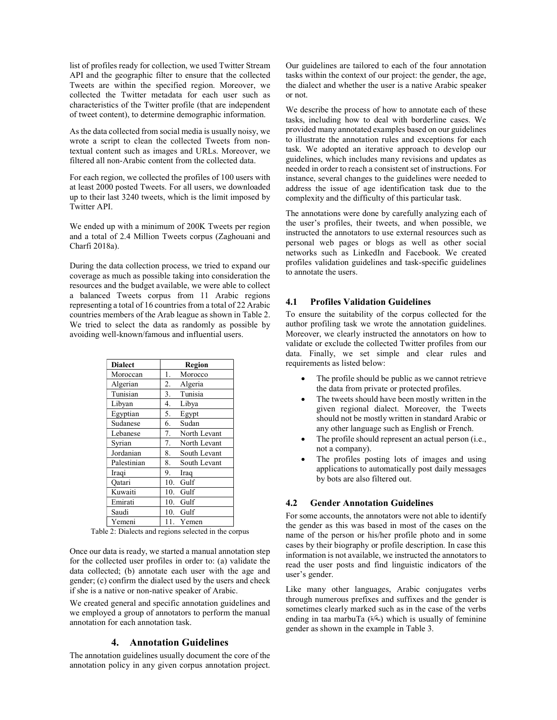list of profiles ready for collection, we used Twitter Stream API and the geographic filter to ensure that the collected Tweets are within the specified region. Moreover, we collected the Twitter metadata for each user such as characteristics of the Twitter profile (that are independent of tweet content), to determine demographic information.

As the data collected from social media is usually noisy, we wrote a script to clean the collected Tweets from nontextual content such as images and URLs. Moreover, we filtered all non-Arabic content from the collected data.

For each region, we collected the profiles of 100 users with at least 2000 posted Tweets. For all users, we downloaded up to their last 3240 tweets, which is the limit imposed by Twitter API.

We ended up with a minimum of 200K Tweets per region and a total of 2.4 Million Tweets corpus (Zaghouani and Charfi 2018a).

During the data collection process, we tried to expand our coverage as much as possible taking into consideration the resources and the budget available, we were able to collect a balanced Tweets corpus from 11 Arabic regions representing a total of 16 countries from a total of 22 Arabic countries members of the Arab league as shown in Table 2. We tried to select the data as randomly as possible by avoiding well-known/famous and influential users.

| <b>Dialect</b> |     | Region       |
|----------------|-----|--------------|
| Moroccan       | 1.  | Morocco      |
| Algerian       | 2.  | Algeria      |
| Tunisian       | 3.  | Tunisia      |
| Libyan         | 4.  | Libya        |
| Egyptian       | 5.  | Egypt        |
| Sudanese       | 6.  | Sudan        |
| Lebanese       | 7.  | North Levant |
| Syrian         | 7.  | North Levant |
| Jordanian      | 8.  | South Levant |
| Palestinian    | 8.  | South Levant |
| Iraqi          | 9.  | Iraq         |
| Oatari         | 10. | Gulf         |
| Kuwaiti        | 10. | Gulf         |
| Emirati        | 10. | Gulf         |
| Saudi          | 10. | Gulf         |
| Yemeni         |     | Yemen        |

Table 2: Dialects and regions selected in the corpus

Once our data is ready, we started a manual annotation step for the collected user profiles in order to: (a) validate the data collected; (b) annotate each user with the age and gender; (c) confirm the dialect used by the users and check if she is a native or non-native speaker of Arabic.

We created general and specific annotation guidelines and we employed a group of annotators to perform the manual annotation for each annotation task.

## 4. Annotation Guidelines

The annotation guidelines usually document the core of the annotation policy in any given corpus annotation project. Our guidelines are tailored to each of the four annotation tasks within the context of our project: the gender, the age, the dialect and whether the user is a native Arabic speaker or not.

We describe the process of how to annotate each of these tasks, including how to deal with borderline cases. We provided many annotated examples based on our guidelines to illustrate the annotation rules and exceptions for each task. We adopted an iterative approach to develop our guidelines, which includes many revisions and updates as needed in order to reach a consistent set of instructions. For instance, several changes to the guidelines were needed to address the issue of age identification task due to the complexity and the difficulty of this particular task.

The annotations were done by carefully analyzing each of the user's profiles, their tweets, and when possible, we instructed the annotators to use external resources such as personal web pages or blogs as well as other social networks such as LinkedIn and Facebook. We created profiles validation guidelines and task-specific guidelines to annotate the users.

#### 4.1 Profiles Validation Guidelines

To ensure the suitability of the corpus collected for the author profiling task we wrote the annotation guidelines. Moreover, we clearly instructed the annotators on how to validate or exclude the collected Twitter profiles from our data. Finally, we set simple and clear rules and requirements as listed below:

- The profile should be public as we cannot retrieve the data from private or protected profiles.
- The tweets should have been mostly written in the given regional dialect. Moreover, the Tweets should not be mostly written in standard Arabic or any other language such as English or French.
- The profile should represent an actual person (i.e., not a company).
- The profiles posting lots of images and using applications to automatically post daily messages by bots are also filtered out.

#### 4.2 Gender Annotation Guidelines

For some accounts, the annotators were not able to identify the gender as this was based in most of the cases on the name of the person or his/her profile photo and in some cases by their biography or profile description. In case this information is not available, we instructed the annotators to read the user posts and find linguistic indicators of the user's gender.

Like many other languages, Arabic conjugates verbs through numerous prefixes and suffixes and the gender is sometimes clearly marked such as in the case of the verbs ending in taa marbuTa (خة/ة) which is usually of feminine gender as shown in the example in Table 3.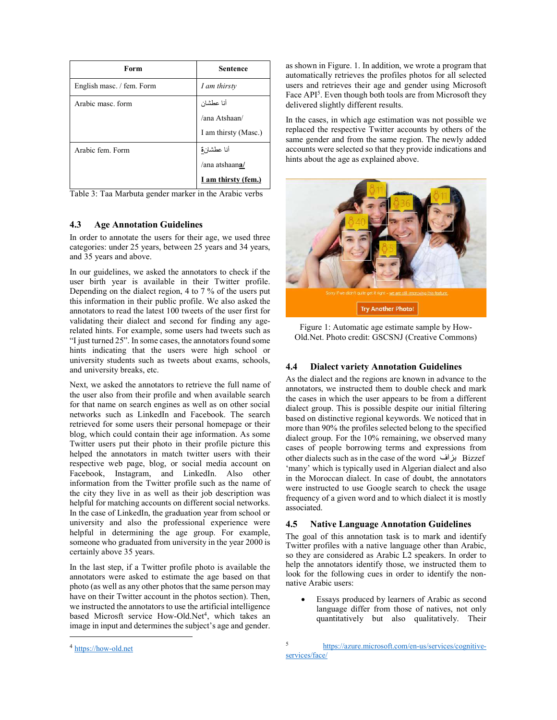| Form                      | <b>Sentence</b>      |
|---------------------------|----------------------|
| English masc. / fem. Form | I am thirsty         |
| Arabic masc. form         | أنا عطشان            |
|                           | /ana Atshaan/        |
|                           | I am thirsty (Masc.) |
| Arabic fem. Form          | أنا عطشا <u>نة</u>   |
|                           | /ana atshaana/       |
|                           | I am thirsty (fem.)  |

Table 3: Taa Marbuta gender marker in the Arabic verbs

# 4.3 Age Annotation Guidelines

In order to annotate the users for their age, we used three categories: under 25 years, between 25 years and 34 years, and 35 years and above.

In our guidelines, we asked the annotators to check if the user birth year is available in their Twitter profile. Depending on the dialect region, 4 to 7 % of the users put this information in their public profile. We also asked the annotators to read the latest 100 tweets of the user first for validating their dialect and second for finding any agerelated hints. For example, some users had tweets such as "I just turned 25". In some cases, the annotators found some hints indicating that the users were high school or university students such as tweets about exams, schools, and university breaks, etc.

Next, we asked the annotators to retrieve the full name of the user also from their profile and when available search for that name on search engines as well as on other social networks such as LinkedIn and Facebook. The search retrieved for some users their personal homepage or their blog, which could contain their age information. As some Twitter users put their photo in their profile picture this helped the annotators in match twitter users with their respective web page, blog, or social media account on Facebook, Instagram, and LinkedIn. Also other information from the Twitter profile such as the name of the city they live in as well as their job description was helpful for matching accounts on different social networks. In the case of LinkedIn, the graduation year from school or university and also the professional experience were helpful in determining the age group. For example, someone who graduated from university in the year 2000 is certainly above 35 years.

In the last step, if a Twitter profile photo is available the annotators were asked to estimate the age based on that photo (as well as any other photos that the same person may have on their Twitter account in the photos section). Then, we instructed the annotators to use the artificial intelligence based Microsft service How-Old.Net<sup>4</sup>, which takes an image in input and determines the subject's age and gender.

as shown in Figure. 1. In addition, we wrote a program that automatically retrieves the profiles photos for all selected users and retrieves their age and gender using Microsoft Face API<sup>5</sup>. Even though both tools are from Microsoft they delivered slightly different results.

In the cases, in which age estimation was not possible we replaced the respective Twitter accounts by others of the same gender and from the same region. The newly added accounts were selected so that they provide indications and hints about the age as explained above.



Figure 1: Automatic age estimate sample by How-Old.Net. Photo credit: GSCSNJ (Creative Commons)

## 4.4 Dialect variety Annotation Guidelines

As the dialect and the regions are known in advance to the annotators, we instructed them to double check and mark the cases in which the user appears to be from a different dialect group. This is possible despite our initial filtering based on distinctive regional keywords. We noticed that in more than 90% the profiles selected belong to the specified dialect group. For the 10% remaining, we observed many cases of people borrowing terms and expressions from other dialects such as in the case of the word بزاف Bizzef 'many' which is typically used in Algerian dialect and also in the Moroccan dialect. In case of doubt, the annotators were instructed to use Google search to check the usage frequency of a given word and to which dialect it is mostly associated.

## 4.5 Native Language Annotation Guidelines

The goal of this annotation task is to mark and identify Twitter profiles with a native language other than Arabic, so they are considered as Arabic L2 speakers. In order to help the annotators identify those, we instructed them to look for the following cues in order to identify the nonnative Arabic users:

 Essays produced by learners of Arabic as second language differ from those of natives, not only quantitatively but also qualitatively. Their

 $\overline{a}$ 

<sup>4</sup> https://how-old.net

<sup>5</sup> https://azure.microsoft.com/en-us/services/cognitiveservices/face/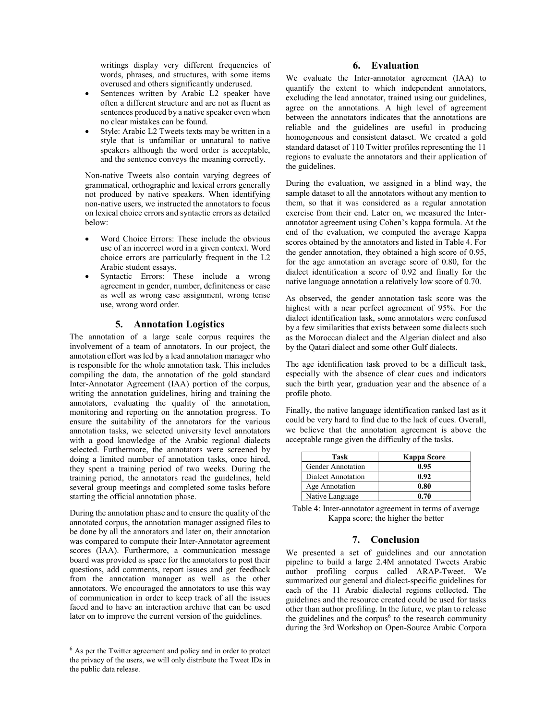writings display very different frequencies of words, phrases, and structures, with some items overused and others significantly underused.

- Sentences written by Arabic L2 speaker have often a different structure and are not as fluent as sentences produced by a native speaker even when no clear mistakes can be found.
- Style: Arabic L2 Tweets texts may be written in a style that is unfamiliar or unnatural to native speakers although the word order is acceptable, and the sentence conveys the meaning correctly.

Non-native Tweets also contain varying degrees of grammatical, orthographic and lexical errors generally not produced by native speakers. When identifying non-native users, we instructed the annotators to focus on lexical choice errors and syntactic errors as detailed below:

- Word Choice Errors: These include the obvious use of an incorrect word in a given context. Word choice errors are particularly frequent in the L2 Arabic student essays.
- Syntactic Errors: These include a wrong agreement in gender, number, definiteness or case as well as wrong case assignment, wrong tense use, wrong word order.

# 5. Annotation Logistics

The annotation of a large scale corpus requires the involvement of a team of annotators. In our project, the annotation effort was led by a lead annotation manager who is responsible for the whole annotation task. This includes compiling the data, the annotation of the gold standard Inter-Annotator Agreement (IAA) portion of the corpus, writing the annotation guidelines, hiring and training the annotators, evaluating the quality of the annotation, monitoring and reporting on the annotation progress. To ensure the suitability of the annotators for the various annotation tasks, we selected university level annotators with a good knowledge of the Arabic regional dialects selected. Furthermore, the annotators were screened by doing a limited number of annotation tasks, once hired, they spent a training period of two weeks. During the training period, the annotators read the guidelines, held several group meetings and completed some tasks before starting the official annotation phase.

During the annotation phase and to ensure the quality of the annotated corpus, the annotation manager assigned files to be done by all the annotators and later on, their annotation was compared to compute their Inter-Annotator agreement scores (IAA). Furthermore, a communication message board was provided as space for the annotators to post their questions, add comments, report issues and get feedback from the annotation manager as well as the other annotators. We encouraged the annotators to use this way of communication in order to keep track of all the issues faced and to have an interaction archive that can be used later on to improve the current version of the guidelines.

 $\overline{a}$ 

## 6. Evaluation

We evaluate the Inter-annotator agreement (IAA) to quantify the extent to which independent annotators, excluding the lead annotator, trained using our guidelines, agree on the annotations. A high level of agreement between the annotators indicates that the annotations are reliable and the guidelines are useful in producing homogeneous and consistent dataset. We created a gold standard dataset of 110 Twitter profiles representing the 11 regions to evaluate the annotators and their application of the guidelines.

During the evaluation, we assigned in a blind way, the sample dataset to all the annotators without any mention to them, so that it was considered as a regular annotation exercise from their end. Later on, we measured the Interannotator agreement using Cohen's kappa formula. At the end of the evaluation, we computed the average Kappa scores obtained by the annotators and listed in Table 4. For the gender annotation, they obtained a high score of 0.95, for the age annotation an average score of 0.80, for the dialect identification a score of 0.92 and finally for the native language annotation a relatively low score of 0.70.

As observed, the gender annotation task score was the highest with a near perfect agreement of 95%. For the dialect identification task, some annotators were confused by a few similarities that exists between some dialects such as the Moroccan dialect and the Algerian dialect and also by the Qatari dialect and some other Gulf dialects.

The age identification task proved to be a difficult task, especially with the absence of clear cues and indicators such the birth year, graduation year and the absence of a profile photo.

Finally, the native language identification ranked last as it could be very hard to find due to the lack of cues. Overall, we believe that the annotation agreement is above the acceptable range given the difficulty of the tasks.

| Task               | Kappa Score |
|--------------------|-------------|
| Gender Annotation  | 0.95        |
| Dialect Annotation | 0.92        |
| Age Annotation     | 0.80        |
| Native Language    | 0.70        |

Table 4: Inter-annotator agreement in terms of average Kappa score; the higher the better

## 7. Conclusion

We presented a set of guidelines and our annotation pipeline to build a large 2.4M annotated Tweets Arabic author profiling corpus called ARAP-Tweet. We summarized our general and dialect-specific guidelines for each of the 11 Arabic dialectal regions collected. The guidelines and the resource created could be used for tasks other than author profiling. In the future, we plan to release the guidelines and the corpus<sup>6</sup> to the research community during the 3rd Workshop on Open-Source Arabic Corpora

 $<sup>6</sup>$  As per the Twitter agreement and policy and in order to protect</sup> the privacy of the users, we will only distribute the Tweet IDs in the public data release.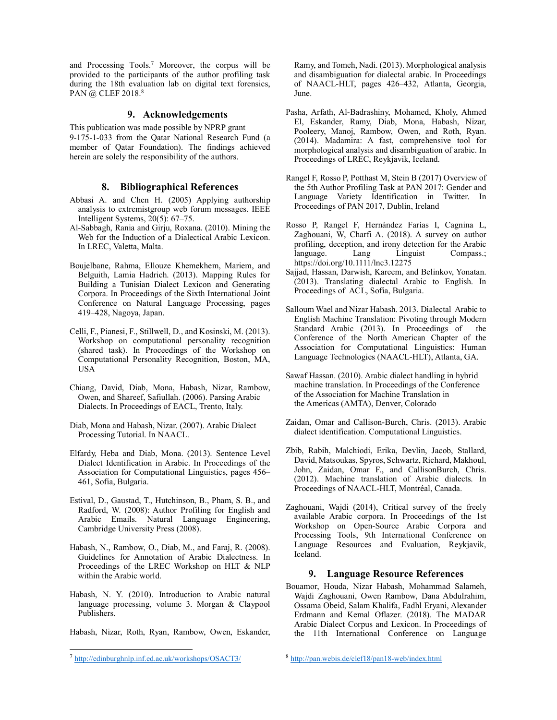and Processing Tools.<sup>7</sup> Moreover, the corpus will be provided to the participants of the author profiling task during the 18th evaluation lab on digital text forensics, PAN @ CLEF 2018.<sup>8</sup>

# 9. Acknowledgements

This publication was made possible by NPRP grant 9-175-1-033 from the Qatar National Research Fund (a member of Qatar Foundation). The findings achieved herein are solely the responsibility of the authors.

#### 8. Bibliographical References

- Abbasi A. and Chen H. (2005) Applying authorship analysis to extremistgroup web forum messages. IEEE Intelligent Systems, 20(5): 67–75.
- Al-Sabbagh, Rania and Girju, Roxana. (2010). Mining the Web for the Induction of a Dialectical Arabic Lexicon. In LREC, Valetta, Malta.
- Boujelbane, Rahma, Ellouze Khemekhem, Mariem, and Belguith, Lamia Hadrich. (2013). Mapping Rules for Building a Tunisian Dialect Lexicon and Generating Corpora. In Proceedings of the Sixth International Joint Conference on Natural Language Processing, pages 419–428, Nagoya, Japan.
- Celli, F., Pianesi, F., Stillwell, D., and Kosinski, M. (2013). Workshop on computational personality recognition (shared task). In Proceedings of the Workshop on Computational Personality Recognition, Boston, MA, USA
- Chiang, David, Diab, Mona, Habash, Nizar, Rambow, Owen, and Shareef, Safiullah. (2006). Parsing Arabic Dialects. In Proceedings of EACL, Trento, Italy.
- Diab, Mona and Habash, Nizar. (2007). Arabic Dialect Processing Tutorial. In NAACL.
- Elfardy, Heba and Diab, Mona. (2013). Sentence Level Dialect Identification in Arabic. In Proceedings of the Association for Computational Linguistics, pages 456– 461, Sofia, Bulgaria.
- Estival, D., Gaustad, T., Hutchinson, B., Pham, S. B., and Radford, W. (2008): Author Profiling for English and Arabic Emails. Natural Language Engineering, Cambridge University Press (2008).
- Habash, N., Rambow, O., Diab, M., and Faraj, R. (2008). Guidelines for Annotation of Arabic Dialectness. In Proceedings of the LREC Workshop on HLT & NLP within the Arabic world.
- Habash, N. Y. (2010). Introduction to Arabic natural language processing, volume 3. Morgan & Claypool Publishers.

Habash, Nizar, Roth, Ryan, Rambow, Owen, Eskander,

i,

Ramy, and Tomeh, Nadi. (2013). Morphological analysis and disambiguation for dialectal arabic. In Proceedings of NAACL-HLT, pages 426–432, Atlanta, Georgia, June.

- Pasha, Arfath, Al-Badrashiny, Mohamed, Kholy, Ahmed El, Eskander, Ramy, Diab, Mona, Habash, Nizar, Pooleery, Manoj, Rambow, Owen, and Roth, Ryan. (2014). Madamira: A fast, comprehensive tool for morphological analysis and disambiguation of arabic. In Proceedings of LREC, Reykjavik, Iceland.
- Rangel F, Rosso P, Potthast M, Stein B (2017) Overview of the 5th Author Profiling Task at PAN 2017: Gender and Language Variety Identification in Twitter. In Proceedings of PAN 2017, Dublin, Ireland
- Rosso P, Rangel F, Hernández Farías I, Cagnina L, Zaghouani, W, Charfi A. (2018). A survey on author profiling, deception, and irony detection for the Arabic language. Lang Linguist Compass.; https://doi.org/10.1111/lnc3.12275
- Sajjad, Hassan, Darwish, Kareem, and Belinkov, Yonatan. (2013). Translating dialectal Arabic to English. In Proceedings of ACL, Sofia, Bulgaria.
- Salloum Wael and Nizar Habash. 2013. Dialectal Arabic to English Machine Translation: Pivoting through Modern Standard Arabic (2013). In Proceedings of the Conference of the North American Chapter of the Association for Computational Linguistics: Human Language Technologies (NAACL-HLT), Atlanta, GA.
- Sawaf Hassan. (2010). Arabic dialect handling in hybrid machine translation. In Proceedings of the Conference of the Association for Machine Translation in the Americas (AMTA), Denver, Colorado
- Zaidan, Omar and Callison-Burch, Chris. (2013). Arabic dialect identification. Computational Linguistics.
- Zbib, Rabih, Malchiodi, Erika, Devlin, Jacob, Stallard, David, Matsoukas, Spyros, Schwartz, Richard, Makhoul, John, Zaidan, Omar F., and CallisonBurch, Chris. (2012). Machine translation of Arabic dialects. In Proceedings of NAACL-HLT, Montréal, Canada.
- Zaghouani, Wajdi (2014), Critical survey of the freely available Arabic corpora. In Proceedings of the 1st Workshop on Open-Source Arabic Corpora and Processing Tools, 9th International Conference on Language Resources and Evaluation, Reykjavik, Iceland.

#### 9. Language Resource References

Bouamor, Houda, Nizar Habash, Mohammad Salameh, Wajdi Zaghouani, Owen Rambow, Dana Abdulrahim, Ossama Obeid, Salam Khalifa, Fadhl Eryani, Alexander Erdmann and Kemal Oflazer. (2018). The MADAR Arabic Dialect Corpus and Lexicon. In Proceedings of the 11th International Conference on Language

<sup>7</sup> http://edinburghnlp.inf.ed.ac.uk/workshops/OSACT3/

<sup>8</sup> http://pan.webis.de/clef18/pan18-web/index.html